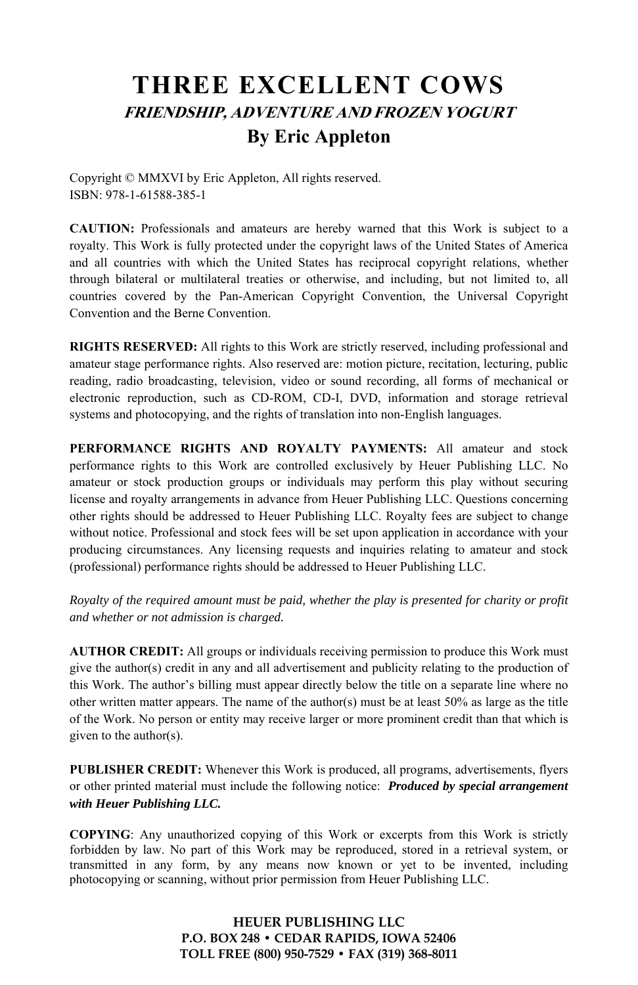# **THREE EXCELLENT COWS FRIENDSHIP, ADVENTURE AND FROZEN YOGURT By Eric Appleton**

Copyright © MMXVI by Eric Appleton, All rights reserved. ISBN: 978-1-61588-385-1

**CAUTION:** Professionals and amateurs are hereby warned that this Work is subject to a royalty. This Work is fully protected under the copyright laws of the United States of America and all countries with which the United States has reciprocal copyright relations, whether through bilateral or multilateral treaties or otherwise, and including, but not limited to, all countries covered by the Pan-American Copyright Convention, the Universal Copyright Convention and the Berne Convention.

**RIGHTS RESERVED:** All rights to this Work are strictly reserved, including professional and amateur stage performance rights. Also reserved are: motion picture, recitation, lecturing, public reading, radio broadcasting, television, video or sound recording, all forms of mechanical or electronic reproduction, such as CD-ROM, CD-I, DVD, information and storage retrieval systems and photocopying, and the rights of translation into non-English languages.

**PERFORMANCE RIGHTS AND ROYALTY PAYMENTS:** All amateur and stock performance rights to this Work are controlled exclusively by Heuer Publishing LLC. No amateur or stock production groups or individuals may perform this play without securing license and royalty arrangements in advance from Heuer Publishing LLC. Questions concerning other rights should be addressed to Heuer Publishing LLC. Royalty fees are subject to change without notice. Professional and stock fees will be set upon application in accordance with your producing circumstances. Any licensing requests and inquiries relating to amateur and stock (professional) performance rights should be addressed to Heuer Publishing LLC.

*Royalty of the required amount must be paid, whether the play is presented for charity or profit and whether or not admission is charged.* 

**AUTHOR CREDIT:** All groups or individuals receiving permission to produce this Work must give the author(s) credit in any and all advertisement and publicity relating to the production of this Work. The author's billing must appear directly below the title on a separate line where no other written matter appears. The name of the author(s) must be at least  $50\%$  as large as the title of the Work. No person or entity may receive larger or more prominent credit than that which is given to the author(s).

**PUBLISHER CREDIT:** Whenever this Work is produced, all programs, advertisements, flyers or other printed material must include the following notice: *Produced by special arrangement with Heuer Publishing LLC.*

**COPYING**: Any unauthorized copying of this Work or excerpts from this Work is strictly forbidden by law. No part of this Work may be reproduced, stored in a retrieval system, or transmitted in any form, by any means now known or yet to be invented, including photocopying or scanning, without prior permission from Heuer Publishing LLC.

> **HEUER PUBLISHING LLC P.O. BOX 248 • CEDAR RAPIDS, IOWA 52406 TOLL FREE (800) 950-7529 • FAX (319) 368-8011**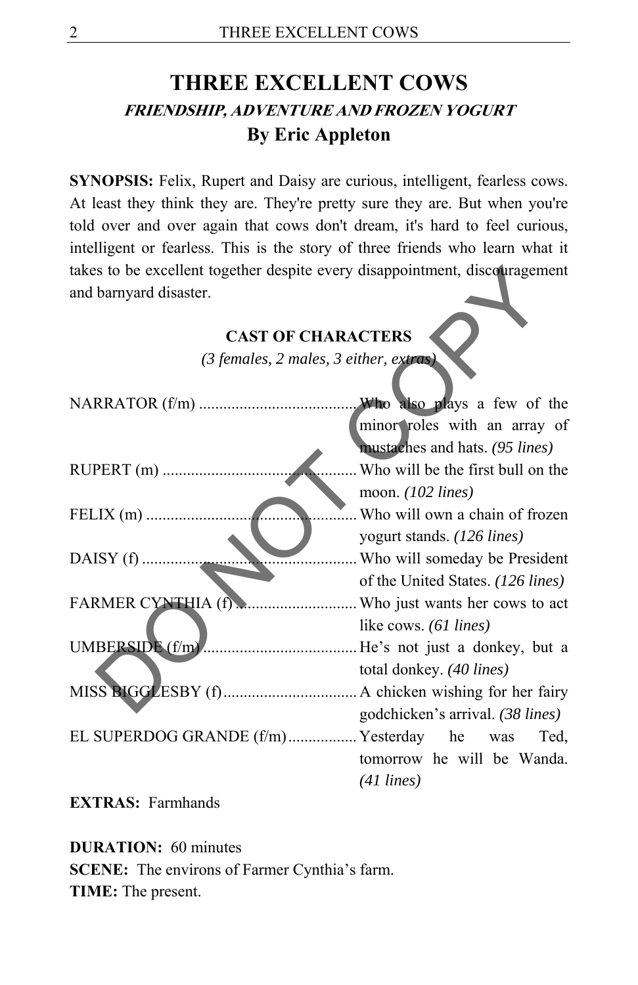# **THREE EXCELLENT COWS FRIENDSHIP, ADVENTURE AND FROZEN YOGURT By Eric Appleton**

**SYNOPSIS:** Felix, Rupert and Daisy are curious, intelligent, fearless cows. At least they think they are. They're pretty sure they are. But when you're told over and over again that cows don't dream, it's hard to feel curious, intelligent or fearless. This is the story of three friends who learn what it takes to be excellent together despite every disappointment, discouragement and barnyard disaster.

## **CAST OF CHARACTERS**

| takes to be excellent together despite every disappointment, discouragement |                                   |
|-----------------------------------------------------------------------------|-----------------------------------|
| and barnyard disaster.                                                      |                                   |
|                                                                             |                                   |
| <b>CAST OF CHARACTERS</b>                                                   |                                   |
| $(3$ females, 2 males, 3 either, extras)                                    |                                   |
|                                                                             |                                   |
|                                                                             | Who also plays a few of the       |
|                                                                             | minor roles with an array of      |
|                                                                             | mustaches and hats. (95 lines)    |
| RUPERT (m)                                                                  | Who will be the first bull on the |
|                                                                             | moon. $(102 \text{ lines})$       |
| FELIX $(m)$                                                                 | . Who will own a chain of frozen  |
|                                                                             | yogurt stands. (126 lines)        |
| DAISY (f)                                                                   | . Who will someday be President   |
|                                                                             | of the United States. (126 lines) |
|                                                                             |                                   |
|                                                                             | like cows. (61 lines)             |
|                                                                             |                                   |
|                                                                             | total donkey. (40 lines)          |
|                                                                             |                                   |
|                                                                             | godchicken's arrival. (38 lines)  |
| EL SUPERDOG GRANDE (f/m) Yesterday he was                                   | Ted,                              |
|                                                                             | tomorrow he will be Wanda.        |
|                                                                             | $(41 \text{ lines})$              |
|                                                                             |                                   |

**EXTRAS:** Farmhands

**DURATION:** 60 minutes **SCENE:** The environs of Farmer Cynthia's farm. **TIME:** The present.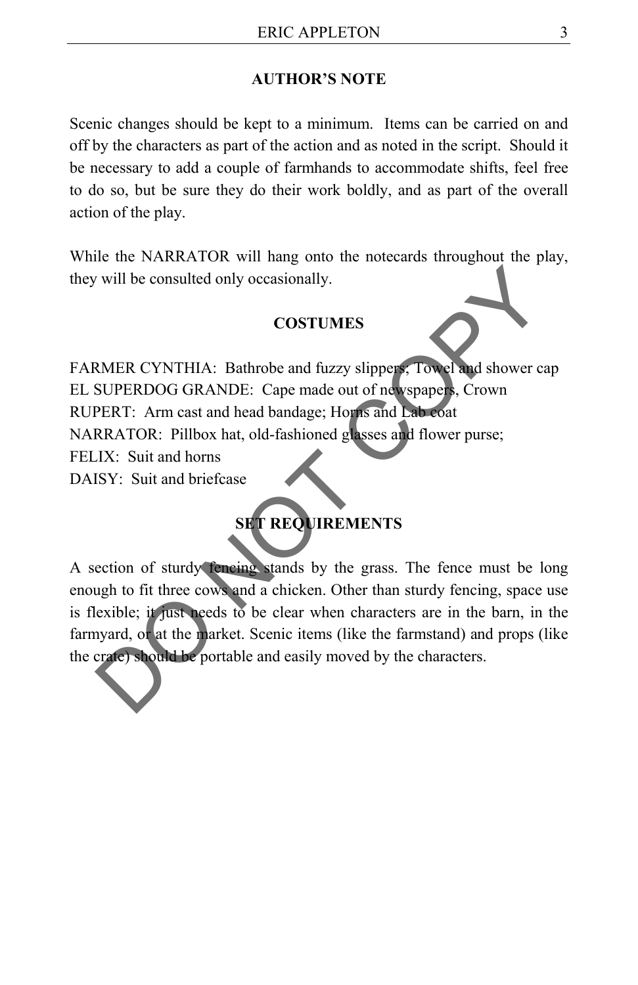#### **AUTHOR'S NOTE**

Scenic changes should be kept to a minimum. Items can be carried on and off by the characters as part of the action and as noted in the script. Should it be necessary to add a couple of farmhands to accommodate shifts, feel free to do so, but be sure they do their work boldly, and as part of the overall action of the play.

While the NARRATOR will hang onto the notecards throughout the play, they will be consulted only occasionally.

#### **COSTUMES**

FARMER CYNTHIA: Bathrobe and fuzzy slippers; Towel and shower cap EL SUPERDOG GRANDE: Cape made out of newspapers, Crown RUPERT: Arm cast and head bandage; Horns and Lab coat NARRATOR: Pillbox hat, old-fashioned glasses and flower purse; FELIX: Suit and horns The consulted only occasionally.<br>
COSTUMES<br>
NMER CYNTHIA: Bathrobe and fuzzy slippers, Towel and shower cap<br>
SUPERDOG GRANDE: Cape made out of newspapers, Crown<br>
RRATOR: Pillbox hat, old-fashioned glasses and flower purse;

DAISY: Suit and briefcase

### **SET REQUIREMENTS**

A section of sturdy fencing stands by the grass. The fence must be long enough to fit three cows and a chicken. Other than sturdy fencing, space use is flexible; it just needs to be clear when characters are in the barn, in the farmyard, or at the market. Scenic items (like the farmstand) and props (like the crate) should be portable and easily moved by the characters.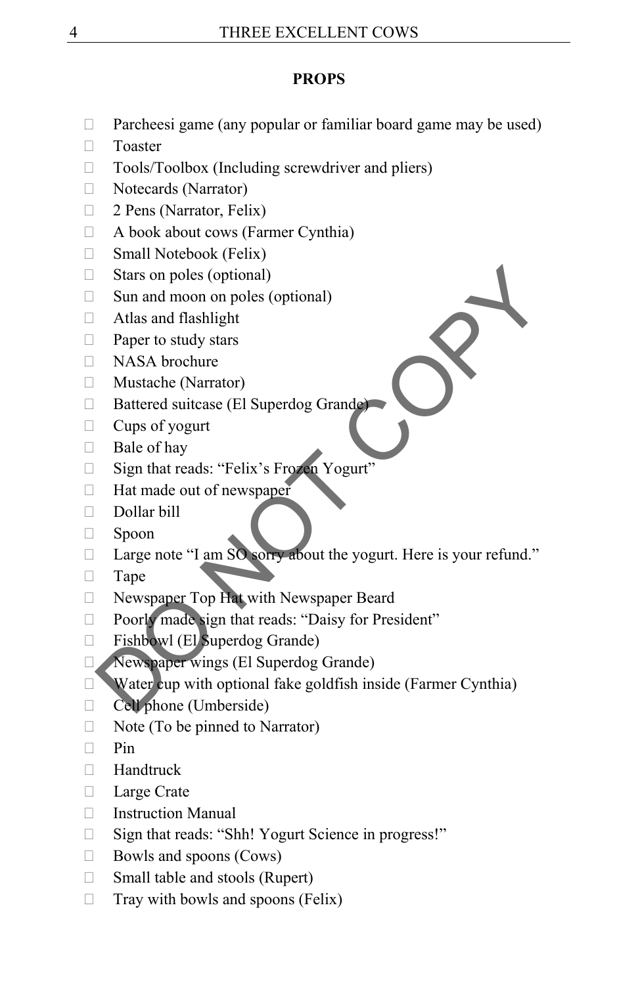#### **PROPS**

- Parcheesi game (any popular or familiar board game may be used)
- □ Toaster
- $\Box$  Tools/Toolbox (Including screwdriver and pliers)
- Notecards (Narrator)
- □ 2 Pens (Narrator, Felix)
- $\Box$  A book about cows (Farmer Cynthia)
- □ Small Notebook (Felix)
- $\Box$  Stars on poles (optional)
- $\Box$  Sun and moon on poles (optional)
- □ Atlas and flashlight
- $\Box$  Paper to study stars
- □ NASA brochure
- Mustache (Narrator)
- □ Battered suitcase (El Superdog Grande)
- $\Box$  Cups of yogurt
- $\Box$  Bale of hay
- □ Sign that reads: "Felix's Frozen Yogurt"
- $\Box$  Hat made out of newspaper
- Dollar bill
- Spoon
- □ Large note "I am SO sorry about the yogurt. Here is your refund." Stars on poles (optional)<br>
Sun and moon on poles (optional)<br>
Atlas and flashlight<br>
Paper to study stars<br>
NASA brochure<br>
Mustache (Narrator)<br>
Matshee (Narrator)<br>
Battered suitcase (El Superdog Grande)<br>
Cups of yogurt<br>
Bate
- Tape
- □ Newspaper Top Hat with Newspaper Beard
- Poorly made sign that reads: "Daisy for President"
- □ Fishbowl (El Superdog Grande)
- Newspaper wings (El Superdog Grande)
- $\Box$  Water cup with optional fake goldfish inside (Farmer Cynthia)
- Cell phone (Umberside)
- $\Box$  Note (To be pinned to Narrator)
- $\Box$  Pin
- Handtruck
- **Large Crate**
- Instruction Manual
- □ Sign that reads: "Shh! Yogurt Science in progress!"
- $\Box$  Bowls and spoons (Cows)
- $\Box$  Small table and stools (Rupert)
- $\Box$  Tray with bowls and spoons (Felix)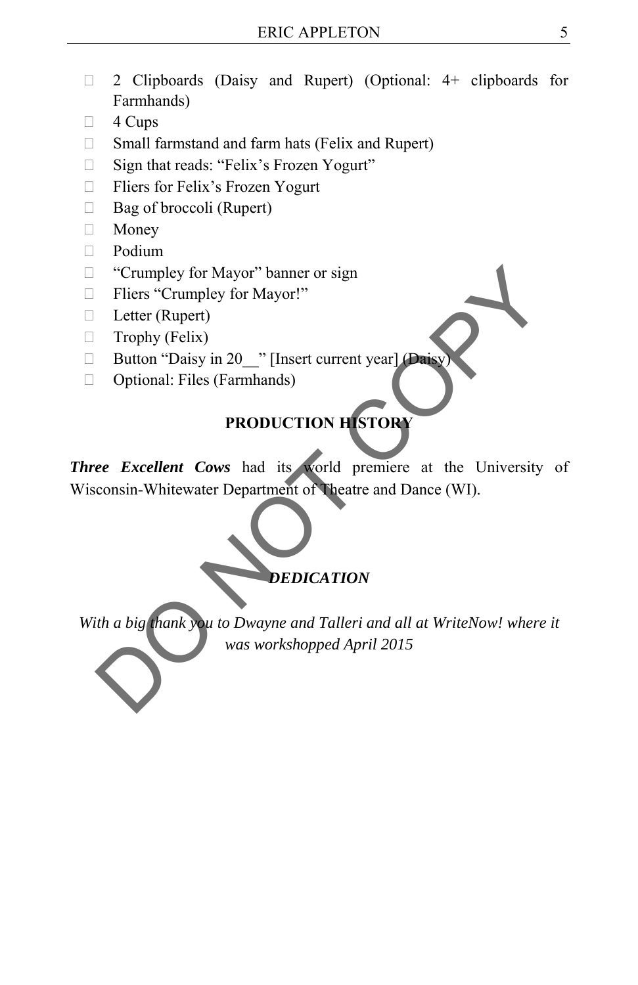- 2 Clipboards (Daisy and Rupert) (Optional: 4+ clipboards for Farmhands)
- $\Box$  4 Cups
- $\Box$  Small farmstand and farm hats (Felix and Rupert)
- $\Box$  Sign that reads: "Felix's Frozen Yogurt"
- □ Fliers for Felix's Frozen Yogurt
- $\Box$  Bag of broccoli (Rupert)
- Money
- Podium
- □ "Crumpley for Mayor" banner or sign
- □ Fliers "Crumpley for Mayor!"
- $\Box$  Letter (Rupert)
- $\Box$  Trophy (Felix)
- Button "Daisy in 20\_\_" [Insert current year] (Daisy)
- □ Optional: Files (Farmhands)

### **PRODUCTION HISTORY**

*Three Excellent Cows* had its world premiere at the University of Wisconsin-Whitewater Department of Theatre and Dance (WI). "Crumpley for Mayor" banner or sign<br>
Fliers "Crumpley for Mayor"<br>
Letter (Rupert)<br>
Trophy (Felix)<br>
Button "Daisy in 20<sub>\_\_</sub>" [Insert current year]<br>
Optional: Files (Farmhands)<br> **PRODUCTION HISTORY**<br> **PRODUCTION HISTORY**<br> **P** 



*With a big thank you to Dwayne and Talleri and all at WriteNow! where it was workshopped April 2015*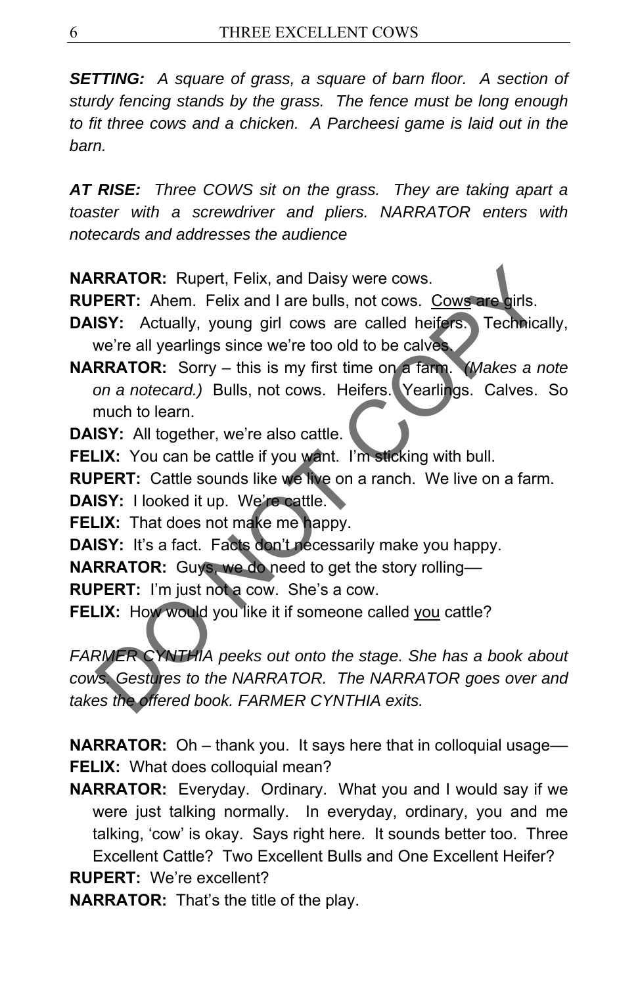*SETTING: A square of grass, a square of barn floor. A section of sturdy fencing stands by the grass. The fence must be long enough to fit three cows and a chicken. A Parcheesi game is laid out in the barn.* 

*AT RISE: Three COWS sit on the grass. They are taking apart a toaster with a screwdriver and pliers. NARRATOR enters with notecards and addresses the audience* 

**NARRATOR:** Rupert, Felix, and Daisy were cows.

**RUPERT:** Ahem. Felix and I are bulls, not cows. Cows are girls.

**DAISY:** Actually, young girl cows are called heifers. Technically, we're all yearlings since we're too old to be calves.

**NARRATOR:** Sorry – this is my first time on a farm. *(Makes a note on a notecard.)* Bulls, not cows. Heifers. Yearlings. Calves. So much to learn.

**DAISY:** All together, we're also cattle.

**FELIX:** You can be cattle if you want. I'm sticking with bull.

**RUPERT:** Cattle sounds like we live on a ranch. We live on a farm.

**DAISY:** I looked it up. We're cattle.

**FELIX:** That does not make me happy.

**DAISY:** It's a fact. Facts don't necessarily make you happy.

**NARRATOR:** Guys, we do need to get the story rolling––

**RUPERT:** I'm just not a cow. She's a cow.

**FELIX:** How would you like it if someone called you cattle?

*FARMER CYNTHIA peeks out onto the stage. She has a book about cows. Gestures to the NARRATOR. The NARRATOR goes over and takes the offered book. FARMER CYNTHIA exits.*  RRATOR: Rupert, Felix, and Daisy were cows.<br>
PERT: Ahem. Felix and I are bulls, not cows. Cows are girls.<br>
ISY: Actually, young girl cows are called heirs. Technically<br>
we're all yearlings since we're too old to be calves.

**NARRATOR:** Oh – thank you. It says here that in colloquial usage— **FELIX:** What does colloquial mean?

**NARRATOR:** Everyday. Ordinary. What you and I would say if we were just talking normally. In everyday, ordinary, you and me talking, 'cow' is okay. Says right here. It sounds better too. Three Excellent Cattle? Two Excellent Bulls and One Excellent Heifer? **RUPERT:** We're excellent?

**NARRATOR:** That's the title of the play.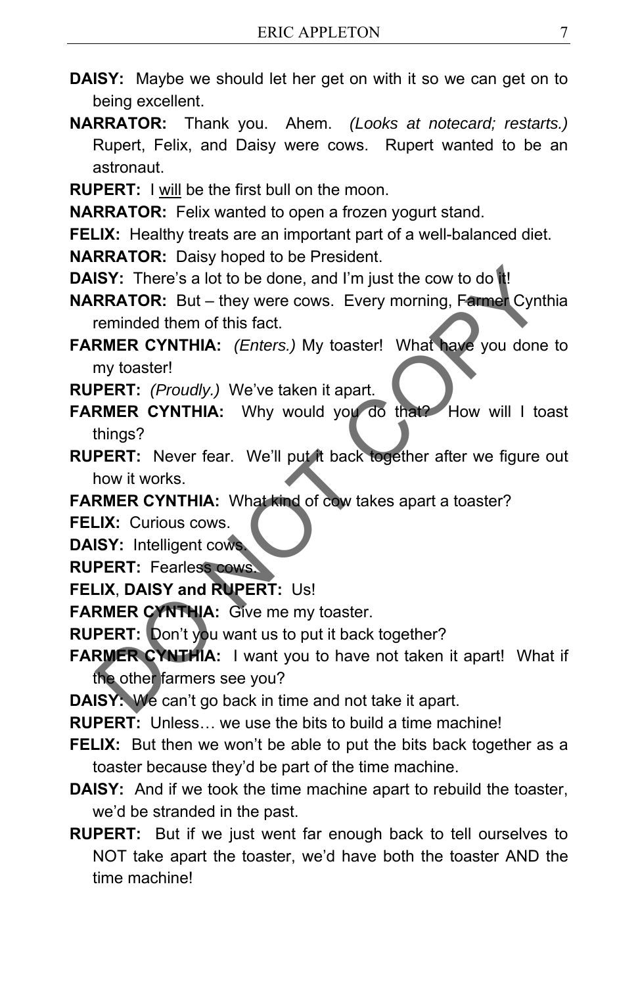- **DAISY:** Maybe we should let her get on with it so we can get on to being excellent.
- **NARRATOR:** Thank you. Ahem. *(Looks at notecard; restarts.)* Rupert, Felix, and Daisy were cows. Rupert wanted to be an astronaut.
- **RUPERT:** I will be the first bull on the moon.

**NARRATOR:** Felix wanted to open a frozen yogurt stand.

**FELIX:** Healthy treats are an important part of a well-balanced diet.

**NARRATOR:** Daisy hoped to be President.

- **DAISY:** There's a lot to be done, and I'm just the cow to do it!
- **NARRATOR:** But they were cows. Every morning, Farmer Cynthia reminded them of this fact.
- **FARMER CYNTHIA:** *(Enters.)* My toaster! What have you done to my toaster! ISY: There's a lot to be done, and I'm just the cow to do it!<br>
RRATOR: But – they were cows. Every morning, Farmer Cynthia<br>
reminded them of this fact.<br>
RMER CYNTHIA: (*Enters.*) My toaster! What have you done to<br>
my toast

**RUPERT:** *(Proudly.)* We've taken it apart.

- **FARMER CYNTHIA:** Why would you do that? How will I toast things?
- **RUPERT:** Never fear. We'll put it back together after we figure out how it works.

**FARMER CYNTHIA:** What kind of cow takes apart a toaster?

**FELIX:** Curious cows.

- **DAISY:** Intelligent cows.
- **RUPERT:** Fearless cows.
- **FELIX**, **DAISY and RUPERT:** Us!
- **FARMER CYNTHIA:** Give me my toaster.

**RUPERT:** Don't you want us to put it back together?

**FARMER CYNTHIA:** I want you to have not taken it apart! What if the other farmers see you?

**DAISY:** We can't go back in time and not take it apart.

**RUPERT:** Unless… we use the bits to build a time machine!

- **FELIX:** But then we won't be able to put the bits back together as a toaster because they'd be part of the time machine.
- **DAISY:** And if we took the time machine apart to rebuild the toaster, we'd be stranded in the past.
- **RUPERT:** But if we just went far enough back to tell ourselves to NOT take apart the toaster, we'd have both the toaster AND the time machine!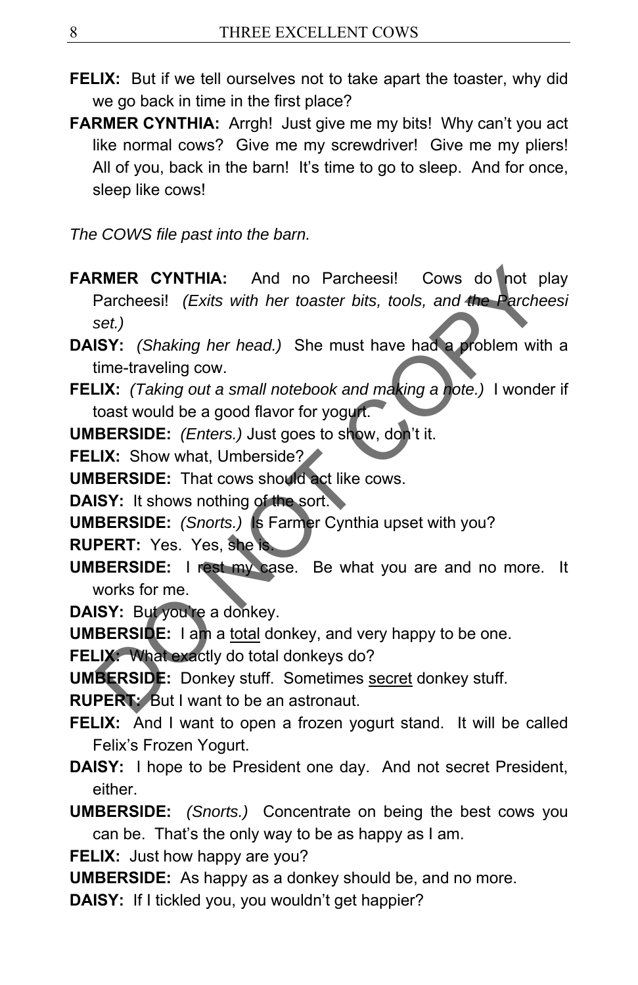- **FELIX:** But if we tell ourselves not to take apart the toaster, why did we go back in time in the first place?
- **FARMER CYNTHIA:** Arrgh! Just give me my bits! Why can't you act like normal cows? Give me my screwdriver! Give me my pliers! All of you, back in the barn! It's time to go to sleep. And for once, sleep like cows!

*The COWS file past into the barn.* 

- **FARMER CYNTHIA:** And no Parcheesi! Cows do not play Parcheesi! *(Exits with her toaster bits, tools, and the Parcheesi set.)* RIMER CYNTHIA: And no Parcheesi! Cows do not plate<br>
Parcheesi! (Exits with her toaster bits, tools, and the Parchees<br>
set.)<br>
SY: (Shaking her head.) She must have had a problem with<br>
time-traveling cow.<br>
LX: (Taking out a
- **DAISY:** *(Shaking her head.)* She must have had a problem with a time-traveling cow.
- **FELIX:** *(Taking out a small notebook and making a note.)* I wonder if toast would be a good flavor for yogurt.
- **UMBERSIDE:** *(Enters.)* Just goes to show, don't it.
- **FELIX:** Show what, Umberside?

**UMBERSIDE:** That cows should act like cows.

- **DAISY:** It shows nothing of the sort.
- **UMBERSIDE:** *(Snorts.)* Is Farmer Cynthia upset with you?

**RUPERT:** Yes. Yes, she is.

- **UMBERSIDE:** I rest my case. Be what you are and no more. It works for me.
- **DAISY:** But you're a donkey.

**UMBERSIDE:** I am a total donkey, and very happy to be one.

**FELIX:** What exactly do total donkeys do?

**UMBERSIDE:** Donkey stuff. Sometimes secret donkey stuff.

**RUPERT:** But I want to be an astronaut.

- **FELIX:** And I want to open a frozen yogurt stand. It will be called Felix's Frozen Yogurt.
- **DAISY:** I hope to be President one day. And not secret President, either.
- **UMBERSIDE:** *(Snorts.)* Concentrate on being the best cows you can be. That's the only way to be as happy as I am.

**FELIX:** Just how happy are you?

- **UMBERSIDE:** As happy as a donkey should be, and no more.
- **DAISY:** If I tickled you, you wouldn't get happier?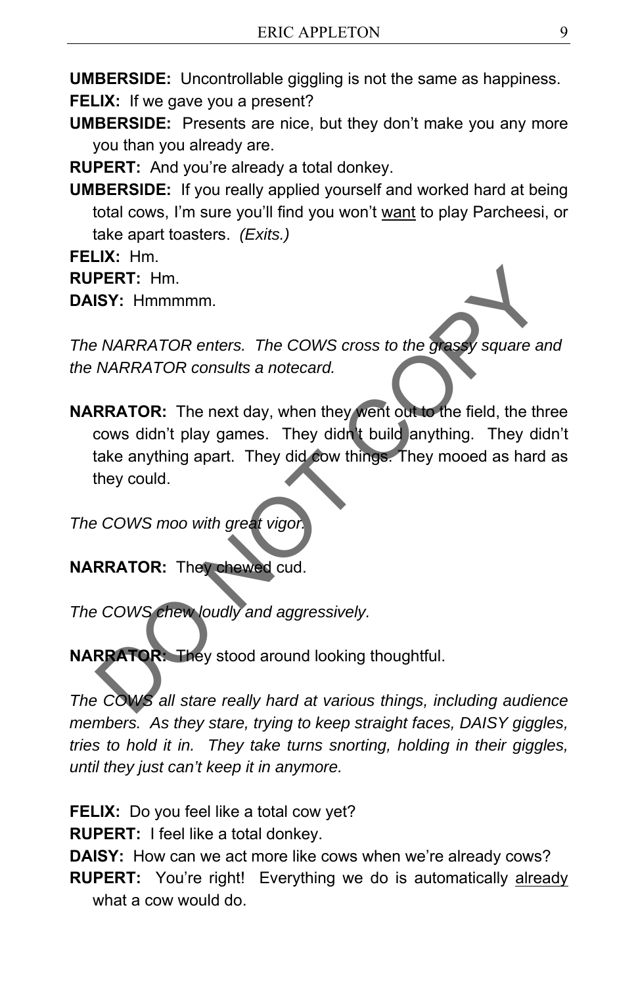**UMBERSIDE:** Uncontrollable giggling is not the same as happiness.

**FELIX:** If we gave you a present?

**UMBERSIDE:** Presents are nice, but they don't make you any more you than you already are.

**RUPERT:** And you're already a total donkey.

**UMBERSIDE:** If you really applied yourself and worked hard at being total cows, I'm sure you'll find you won't want to play Parcheesi, or take apart toasters. *(Exits.)* 

**FELIX:** Hm.

**RUPERT:** Hm.

**DAISY:** Hmmmmm.

*The NARRATOR enters. The COWS cross to the grassy square and the NARRATOR consults a notecard.* 

**NARRATOR:** The next day, when they went out to the field, the three cows didn't play games. They didn't build anything. They didn't take anything apart. They did cow things. They mooed as hard as they could. PERT: Hm.<br>
ISY: Hmmmmm.<br>
ISY: Hmmmmm.<br>
NARRATOR enters. The COWS cross to the grassy square and<br>
NARRATOR: The next day, when they went out to the field, the three<br>
cows didn't play games. They didn't build anything. They

*The COWS moo with great vigo* 

**NARRATOR:** They chewed cud.

*The COWS chew loudly and aggressively.* 

**NARRATOR:** They stood around looking thoughtful.

*The COWS all stare really hard at various things, including audience members. As they stare, trying to keep straight faces, DAISY giggles, tries to hold it in. They take turns snorting, holding in their giggles, until they just can't keep it in anymore.* 

**FELIX:** Do you feel like a total cow yet?

**RUPERT:** I feel like a total donkey.

**DAISY:** How can we act more like cows when we're already cows? **RUPERT:** You're right! Everything we do is automatically already what a cow would do.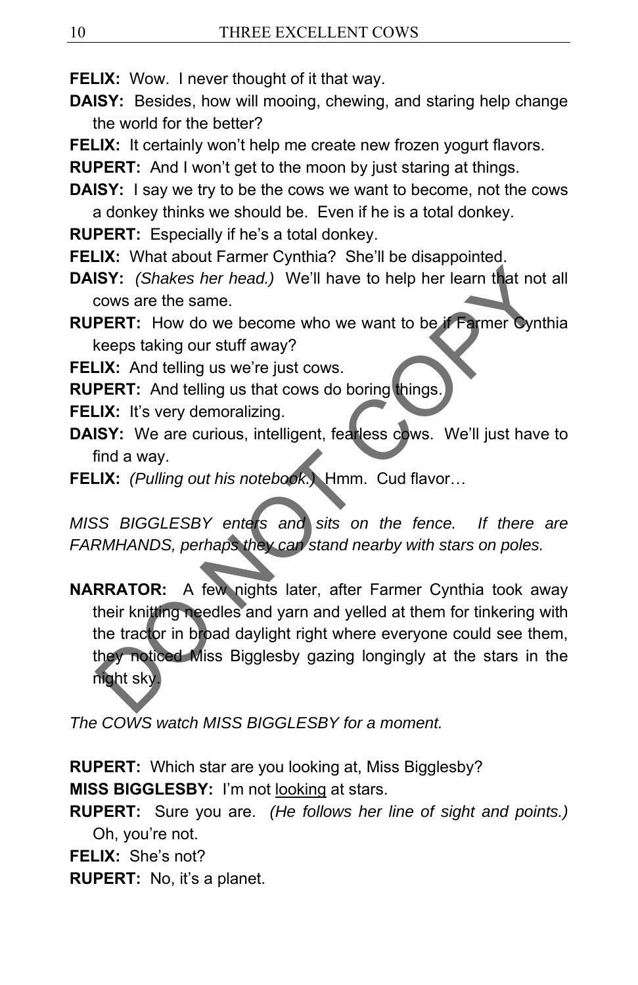**FELIX:** Wow. I never thought of it that way.

- **DAISY:** Besides, how will mooing, chewing, and staring help change the world for the better?
- FELIX: It certainly won't help me create new frozen yogurt flavors.

**RUPERT:** And I won't get to the moon by just staring at things.

**DAISY:** I say we try to be the cows we want to become, not the cows a donkey thinks we should be. Even if he is a total donkey.

**RUPERT:** Especially if he's a total donkey.

**FELIX:** What about Farmer Cynthia? She'll be disappointed.

**DAISY:** *(Shakes her head.)* We'll have to help her learn that not all cows are the same.

**RUPERT:** How do we become who we want to be if Farmer Cynthia keeps taking our stuff away?

**FELIX:** And telling us we're just cows.

**RUPERT:** And telling us that cows do boring things.

**FELIX:** It's very demoralizing.

- **DAISY:** We are curious, intelligent, fearless cows. We'll just have to find a way.
- **FELIX:** *(Pulling out his notebook.)* Hmm. Cud flavor…

*MISS BIGGLESBY enters and sits on the fence. If there are FARMHANDS, perhaps they can stand nearby with stars on poles.* 

**NARRATOR:** A few nights later, after Farmer Cynthia took away their knitting needles and yarn and yelled at them for tinkering with the tractor in broad daylight right where everyone could see them, they noticed Miss Bigglesby gazing longingly at the stars in the night sky. **ISY:** (Shakes her head.) We'll have to help her learn that not a<br>cows are the same.<br> **PERT:** How do we become who we want to be **if Farmer cynthic**<br> **RERT:** How do we become who we want to be **if Farmer cynthic**<br> **LK:** It

*The COWS watch MISS BIGGLESBY for a moment.* 

**RUPERT:** Which star are you looking at, Miss Bigglesby? **MISS BIGGLESBY:** I'm not looking at stars.

**RUPERT:** Sure you are. *(He follows her line of sight and points.)* Oh, you're not.

**FELIX:** She's not?

**RUPERT:** No, it's a planet.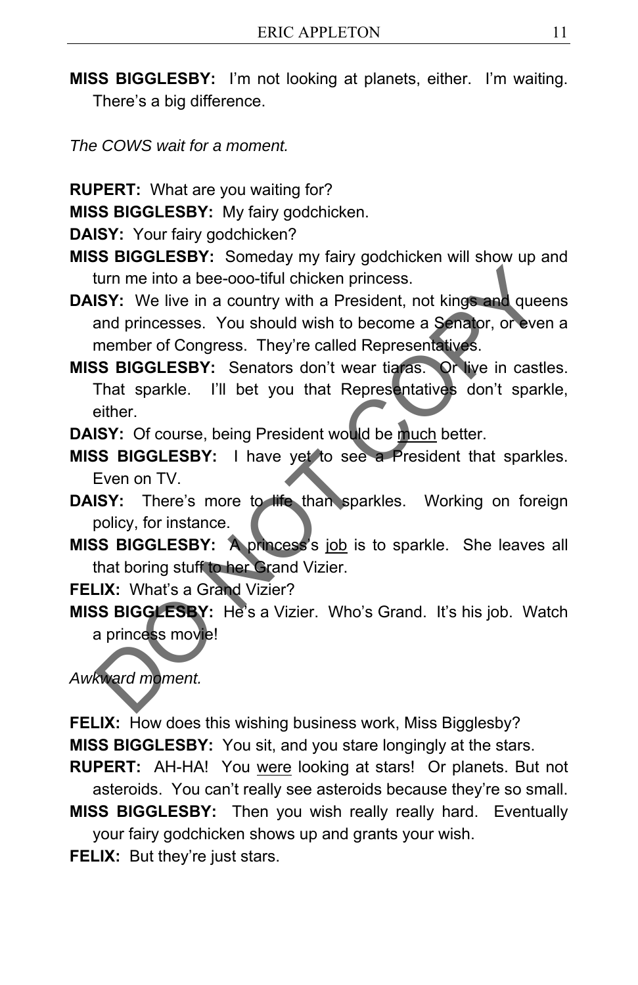**MISS BIGGLESBY:** I'm not looking at planets, either. I'm waiting. There's a big difference.

*The COWS wait for a moment.* 

**RUPERT:** What are you waiting for?

**MISS BIGGLESBY:** My fairy godchicken.

**DAISY:** Your fairy godchicken?

**MISS BIGGLESBY:** Someday my fairy godchicken will show up and turn me into a bee-ooo-tiful chicken princess.

**DAISY:** We live in a country with a President, not kings and queens and princesses. You should wish to become a Senator, or even a member of Congress. They're called Representatives. turn me into a bee-ooo-tiful chicken princess.<br> **SSY:** We live in a country with a President, not kings and queen:<br>
and princesses. You should wish to become a Senator, or even a<br>
member of Congress. They're called Represe

**MISS BIGGLESBY:** Senators don't wear tiaras. Or live in castles. That sparkle. I'll bet you that Representatives don't sparkle, either.

**DAISY:** Of course, being President would be much better.

**MISS BIGGLESBY:** I have yet to see a President that sparkles. Even on TV.

**DAISY:** There's more to life than sparkles. Working on foreign policy, for instance.

**MISS BIGGLESBY:** A princess's job is to sparkle. She leaves all that boring stuff to her Grand Vizier.

**FELIX:** What's a Grand Vizier?

**MISS BIGGLESBY:** He's a Vizier. Who's Grand. It's his job. Watch a princess movie!

*Awkward moment.* 

**FELIX:** How does this wishing business work, Miss Bigglesby? **MISS BIGGLESBY:** You sit, and you stare longingly at the stars.

**RUPERT:** AH-HA! You were looking at stars! Or planets. But not asteroids. You can't really see asteroids because they're so small.

**MISS BIGGLESBY:** Then you wish really really hard. Eventually your fairy godchicken shows up and grants your wish.

**FELIX:** But they're just stars.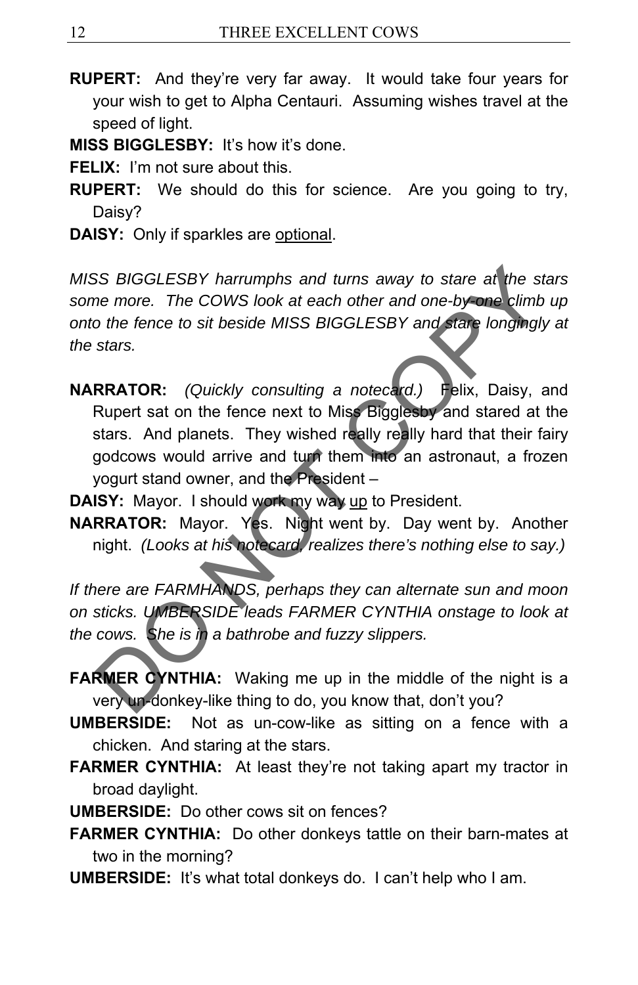- **RUPERT:** And they're very far away. It would take four years for your wish to get to Alpha Centauri. Assuming wishes travel at the speed of light.
- **MISS BIGGLESBY:** It's how it's done.
- **FELIX:** I'm not sure about this.
- **RUPERT:** We should do this for science. Are you going to try, Daisy?
- **DAISY:** Only if sparkles are optional.

*MISS BIGGLESBY harrumphs and turns away to stare at the stars some more. The COWS look at each other and one-by-one climb up onto the fence to sit beside MISS BIGGLESBY and stare longingly at the stars.* 

**NARRATOR:** *(Quickly consulting a notecard.)* Felix, Daisy, and Rupert sat on the fence next to Miss Bigglesby and stared at the stars. And planets. They wished really really hard that their fairy godcows would arrive and turn them into an astronaut, a frozen yogurt stand owner, and the President – SS BIGGLESBY harrumphs and turns away to stare at the stare<br>of the fence of the COWS look at each other and one-by-one climb up<br>o the fence to sit beside MISS BIGGLESBY and stare longingly a<br>stars.<br> **RRATOR:** (Quickly cons

**DAISY:** Mayor. I should work my way up to President.

**NARRATOR:** Mayor. Yes. Night went by. Day went by. Another night. *(Looks at his notecard, realizes there's nothing else to say.)*

*If there are FARMHANDS, perhaps they can alternate sun and moon on sticks. UMBERSIDE leads FARMER CYNTHIA onstage to look at the cows. She is in a bathrobe and fuzzy slippers.* 

- **FARMER CYNTHIA:** Waking me up in the middle of the night is a very un-donkey-like thing to do, you know that, don't you?
- **UMBERSIDE:** Not as un-cow-like as sitting on a fence with a chicken. And staring at the stars.
- **FARMER CYNTHIA:** At least they're not taking apart my tractor in broad daylight.
- **UMBERSIDE:** Do other cows sit on fences?
- **FARMER CYNTHIA:** Do other donkeys tattle on their barn-mates at two in the morning?
- **UMBERSIDE:** It's what total donkeys do. I can't help who I am.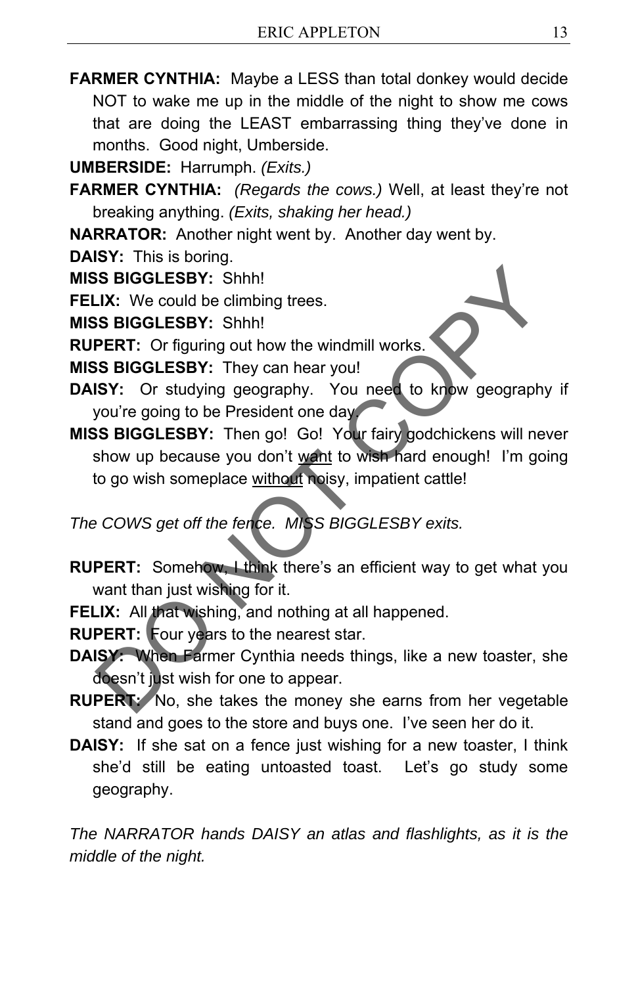**FARMER CYNTHIA:** Maybe a LESS than total donkey would decide NOT to wake me up in the middle of the night to show me cows that are doing the LEAST embarrassing thing they've done in months. Good night, Umberside.

**UMBERSIDE:** Harrumph. *(Exits.)* 

**FARMER CYNTHIA:** *(Regards the cows.)* Well, at least they're not breaking anything. *(Exits, shaking her head.)*

**NARRATOR:** Another night went by. Another day went by.

- **DAISY:** This is boring.
- **MISS BIGGLESBY:** Shhh!
- **FELIX:** We could be climbing trees.

**MISS BIGGLESBY:** Shhh!

- **RUPERT:** Or figuring out how the windmill works.
- **MISS BIGGLESBY:** They can hear you!
- **DAISY:** Or studying geography. You need to know geography if you're going to be President one day.
- **MISS BIGGLESBY:** Then go! Go! Your fairy godchickens will never show up because you don't want to wish hard enough! I'm going to go wish someplace without noisy, impatient cattle! SS BIGGLESBY: Shhh!<br>
J.X: We could be climbing trees.<br>
SS BIGGLESBY: Shhh!<br>
PERT: Or figuring out how the windmill works.<br>
SS BIGGLESBY: They can hear you!<br>
ISY: Or studying geography. You need to know geography is<br>
SS BIG

*The COWS get off the fence. MISS BIGGLESBY exits.* 

- **RUPERT:** Somehow, I think there's an efficient way to get what you want than just wishing for it.
- FELIX: All that wishing, and nothing at all happened.
- **RUPERT:** Four years to the nearest star.
- **DAISY:** When Farmer Cynthia needs things, like a new toaster, she doesn't just wish for one to appear.
- **RUPERT:** No, she takes the money she earns from her vegetable stand and goes to the store and buys one. I've seen her do it.
- **DAISY:** If she sat on a fence just wishing for a new toaster, I think she'd still be eating untoasted toast. Let's go study some geography.

*The NARRATOR hands DAISY an atlas and flashlights, as it is the middle of the night.*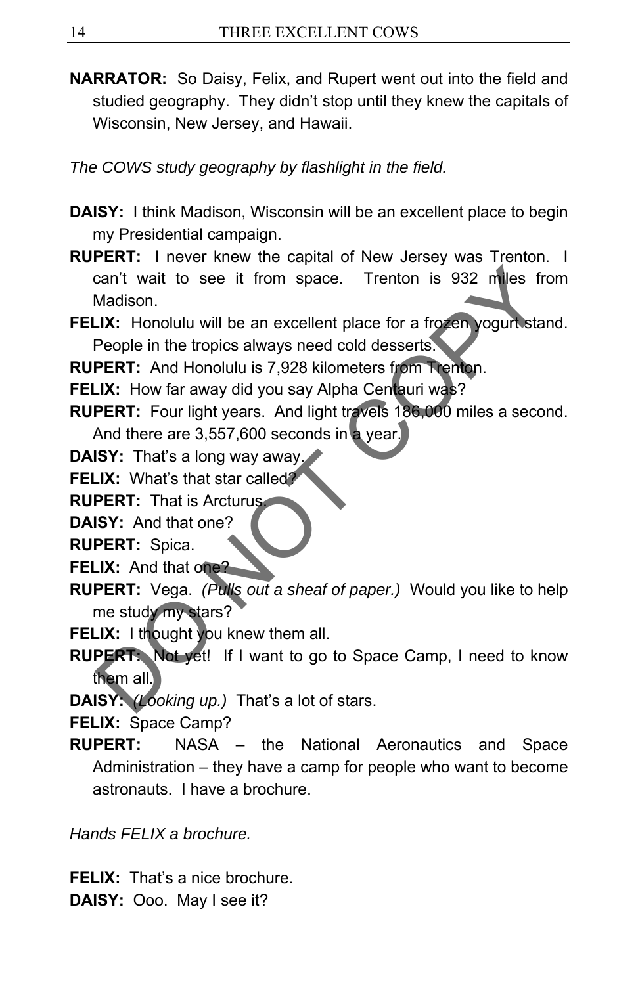**NARRATOR:** So Daisy, Felix, and Rupert went out into the field and studied geography. They didn't stop until they knew the capitals of Wisconsin, New Jersey, and Hawaii.

*The COWS study geography by flashlight in the field.* 

- **DAISY:** I think Madison, Wisconsin will be an excellent place to begin my Presidential campaign.
- **RUPERT:** I never knew the capital of New Jersey was Trenton. I can't wait to see it from space. Trenton is 932 miles from Madison. can't wait to see it from space. Trenton is 932 miles from<br>Madison.<br>
LX: Honolulu will be an excellent place for a frozen yogurt stand<br>
People in the tropics always need cold desserts.<br>
DERT: And Honolulu is 7,928 kilomete
- FELIX: Honolulu will be an excellent place for a frozen yogurt stand. People in the tropics always need cold desserts.

**RUPERT:** And Honolulu is 7,928 kilometers from Trenton.

**FELIX:** How far away did you say Alpha Centauri was?

- **RUPERT:** Four light years. And light travels 186,000 miles a second. And there are 3,557,600 seconds in a year.
- **DAISY:** That's a long way away.
- **FELIX:** What's that star called?

**RUPERT:** That is Arcturus.

**DAISY:** And that one?

**RUPERT:** Spica.

**FELIX:** And that one?

- **RUPERT:** Vega. *(Pulls out a sheaf of paper.)* Would you like to help me study my stars?
- **FELIX:** I thought you knew them all.
- **RUPERT:** Not yet! If I want to go to Space Camp, I need to know them all.

**DAISY:** *(Looking up.)* That's a lot of stars.

**FELIX:** Space Camp?

**RUPERT:** NASA – the National Aeronautics and Space Administration – they have a camp for people who want to become astronauts. I have a brochure.

*Hands FELIX a brochure.* 

**FELIX:** That's a nice brochure. **DAISY:** Ooo. May I see it?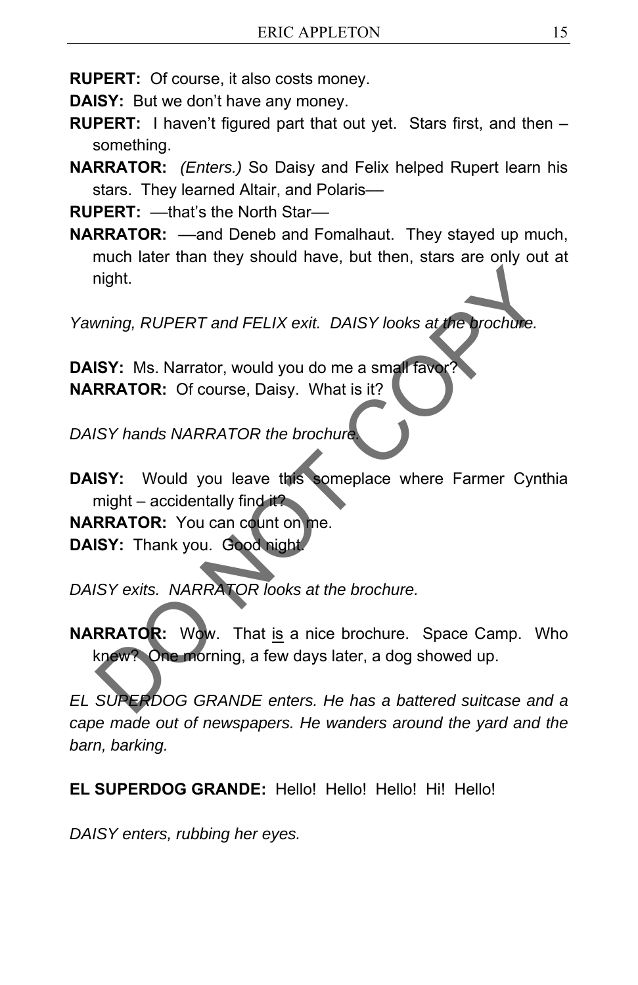**RUPERT:** Of course, it also costs money.

**DAISY:** But we don't have any money.

- **RUPERT:** I haven't figured part that out yet. Stars first, and then something.
- **NARRATOR:** *(Enters.)* So Daisy and Felix helped Rupert learn his stars. They learned Altair, and Polaris-

**RUPERT:**  $-$ that's the North Star-

**NARRATOR:** ––and Deneb and Fomalhaut. They stayed up much, much later than they should have, but then, stars are only out at night.

*Yawning, RUPERT and FELIX exit. DAISY looks at the brochure.* 

**DAISY:** Ms. Narrator, would you do me a small favor? **NARRATOR:** Of course, Daisy. What is it?

*DAISY hands NARRATOR the brochure.*

**DAISY:** Would you leave this someplace where Farmer Cynthia might – accidentally find it?

**NARRATOR:** You can count on me.

**DAISY:** Thank you. Good night.

*DAISY exits. NARRATOR looks at the brochure.* 

**NARRATOR:** Wow. That is a nice brochure. Space Camp. Who knew? One morning, a few days later, a dog showed up. ming, RUPERT and FELIX exit. DAISY looks at the brochule.<br>
ISY: Ms. Narrator, would you do me a small raver?<br>
RRATOR: Of course, Daisy. What is it?<br>
ISY hands NARRATOR the brochure<br>
ISY: Would you leave this comeplace wher

*EL SUPERDOG GRANDE enters. He has a battered suitcase and a cape made out of newspapers. He wanders around the yard and the barn, barking.* 

**EL SUPERDOG GRANDE:** Hello! Hello! Hello! Hi! Hello!

*DAISY enters, rubbing her eyes.*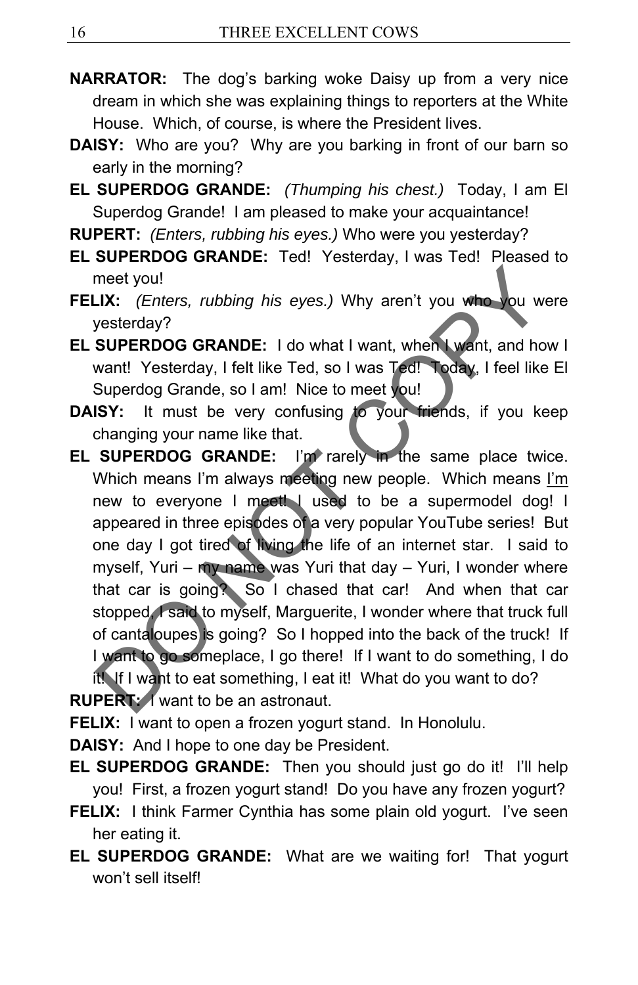- **NARRATOR:** The dog's barking woke Daisy up from a very nice dream in which she was explaining things to reporters at the White House. Which, of course, is where the President lives.
- **DAISY:** Who are you? Why are you barking in front of our barn so early in the morning?
- **EL SUPERDOG GRANDE:** *(Thumping his chest.)* Today, I am El Superdog Grande! I am pleased to make your acquaintance!
- **RUPERT:** *(Enters, rubbing his eyes.)* Who were you yesterday?
- **EL SUPERDOG GRANDE:** Ted! Yesterday, I was Ted! Pleased to meet you!
- **FELIX:** *(Enters, rubbing his eyes.)* Why aren't you who you were yesterday?
- **EL SUPERDOG GRANDE:** I do what I want, when I want, and how I want! Yesterday, I felt like Ted, so I was Ted! Today, I feel like El Superdog Grande, so I am! Nice to meet you!
- **DAISY:** It must be very confusing to your friends, if you keep changing your name like that.
- **EL SUPERDOG GRANDE:** I'm rarely in the same place twice. Which means I'm always meeting new people. Which means I'm new to everyone I meet! I used to be a supermodel dog! I appeared in three episodes of a very popular YouTube series! But one day I got tired of living the life of an internet star. I said to myself, Yuri – my name was Yuri that day – Yuri, I wonder where that car is going? So I chased that car! And when that car stopped, I said to myself, Marguerite, I wonder where that truck full of cantaloupes is going? So I hopped into the back of the truck! If I want to go someplace, I go there! If I want to do something, I do it! If I want to eat something, I eat it! What do you want to do? meet you!<br>
IX: (*Enters, rubbing his eyes.*) Why aren't you who you were<br>
yesterday?<br>
SUPERDOG GRANDE: I do what I want, when I want, and how<br>
want! Yesterday, I fet! like Ted, so I was Ted! Today, I fee! like E<br>
Superdog

**RUPERT:** I want to be an astronaut.

**FELIX:** I want to open a frozen yogurt stand. In Honolulu.

**DAISY:** And I hope to one day be President.

- **EL SUPERDOG GRANDE:** Then you should just go do it! I'll help you! First, a frozen yogurt stand! Do you have any frozen yogurt?
- **FELIX:** I think Farmer Cynthia has some plain old yogurt. I've seen her eating it.
- **EL SUPERDOG GRANDE:** What are we waiting for! That yogurt won't sell itself!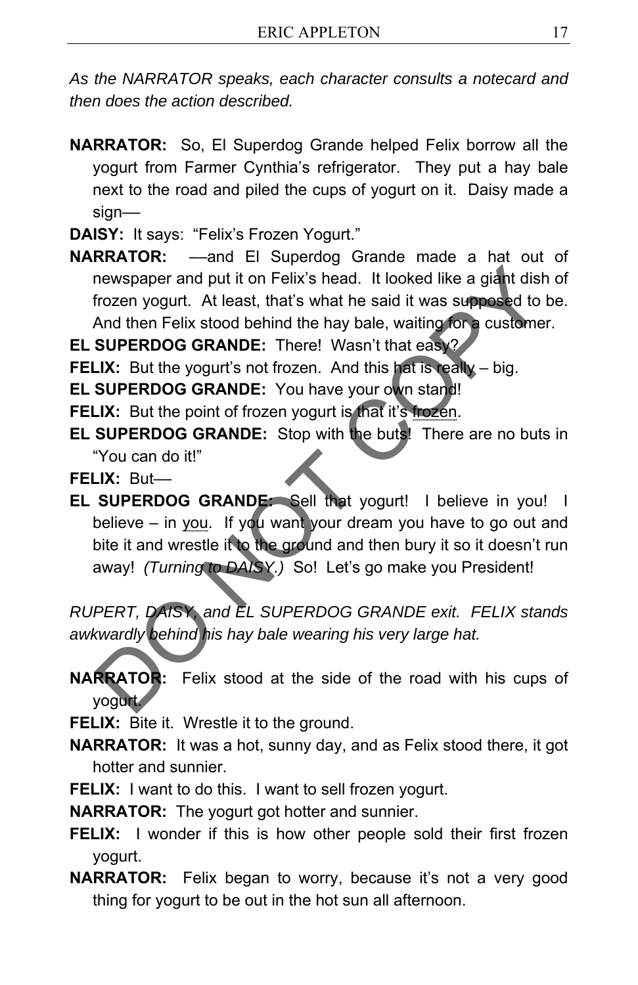*As the NARRATOR speaks, each character consults a notecard and then does the action described.*

- **NARRATOR:** So, El Superdog Grande helped Felix borrow all the yogurt from Farmer Cynthia's refrigerator. They put a hay bale next to the road and piled the cups of yogurt on it. Daisy made a sign––
- **DAISY:** It says: "Felix's Frozen Yogurt."
- **NARRATOR:** ––and El Superdog Grande made a hat out of newspaper and put it on Felix's head. It looked like a giant dish of frozen yogurt. At least, that's what he said it was supposed to be. And then Felix stood behind the hay bale, waiting for a customer.

**EL SUPERDOG GRANDE:** There! Wasn't that easy?

**FELIX:** But the yogurt's not frozen. And this hat is really – big.

**EL SUPERDOG GRANDE:** You have your own stand!

- **FELIX:** But the point of frozen yogurt is that it's frozen.
- **EL SUPERDOG GRANDE:** Stop with the buts! There are no buts in "You can do it!"

**FELIX:** But––

**EL SUPERDOG GRANDE:** Sell that yogurt! I believe in you! I believe – in you. If you want your dream you have to go out and bite it and wrestle it to the ground and then bury it so it doesn't run away! *(Turning to DAISY.)* So! Let's go make you President! newspaper and put it on Felix's head. It looked like a giant dish of frozen yogurt. At least, that's what he said it was supposed to be And then Felix stood behind the hay bale, waiting for a customer.<br>
SUPERDOG GRANDE: Th

*RUPERT, DAISY, and EL SUPERDOG GRANDE exit. FELIX stands awkwardly behind his hay bale wearing his very large hat.* 

**NARRATOR:** Felix stood at the side of the road with his cups of yogurt.

**FELIX:** Bite it. Wrestle it to the ground.

- **NARRATOR:** It was a hot, sunny day, and as Felix stood there, it got hotter and sunnier.
- **FELIX:** I want to do this. I want to sell frozen yogurt.

**NARRATOR:** The yogurt got hotter and sunnier.

- **FELIX:** I wonder if this is how other people sold their first frozen yogurt.
- **NARRATOR:** Felix began to worry, because it's not a very good thing for yogurt to be out in the hot sun all afternoon.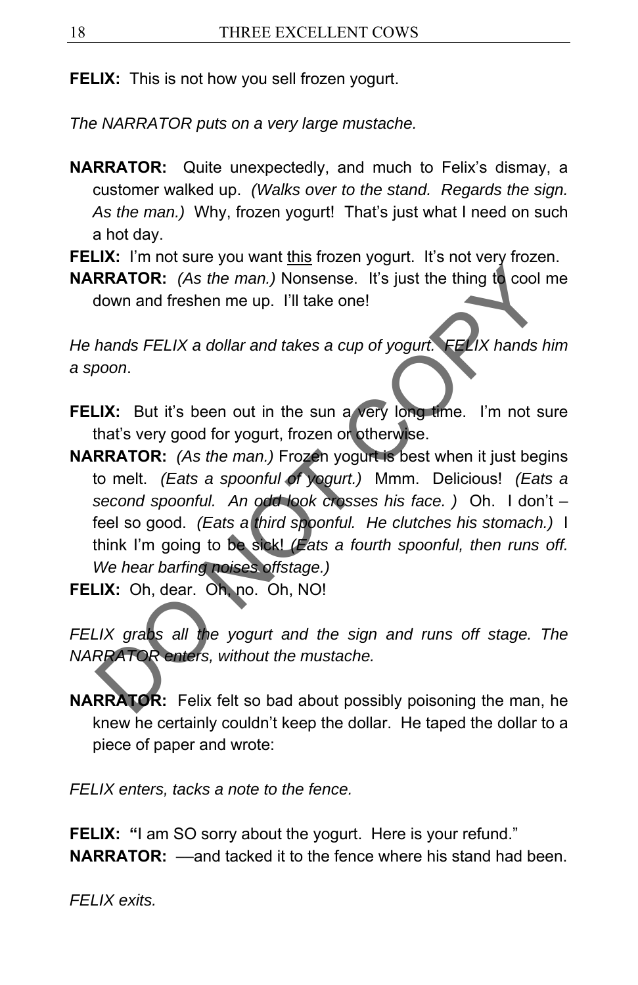**FELIX:** This is not how you sell frozen yogurt.

*The NARRATOR puts on a very large mustache.* 

- **NARRATOR:** Quite unexpectedly, and much to Felix's dismay, a customer walked up. *(Walks over to the stand. Regards the sign. As the man.)*Why, frozen yogurt! That's just what I need on such a hot day.
- **FELIX:** I'm not sure you want this frozen yogurt. It's not very frozen.

**NARRATOR:** *(As the man.)* Nonsense. It's just the thing to cool me down and freshen me up. I'll take one!

*He hands FELIX a dollar and takes a cup of yogurt. FELIX hands him a spoon*.

- **FELIX:** But it's been out in the sun a very long time. I'm not sure that's very good for yogurt, frozen or otherwise.
- **NARRATOR:** *(As the man.)* Frozen yogurt is best when it just begins to melt. *(Eats a spoonful of yogurt.)* Mmm. Delicious! *(Eats a second spoonful. An odd look crosses his face. )*Oh. I don't – feel so good. *(Eats a third spoonful. He clutches his stomach.)* I think I'm going to be sick! *(Eats a fourth spoonful, then runs off. We hear barfing noises offstage.)*  **RRATOR:** (As the man.) Nonsense. It's just the thing to cool motion and freshen me up. I'll take one!<br>
hands FELIX a dollar and takes a cup of yogurt. FELIX hands hin<br>
boon.<br>
LX: But it's been out in the sun a very long t
- **FELIX:** Oh, dear. Oh, no. Oh, NO!

*FELIX grabs all the yogurt and the sign and runs off stage. The NARRATOR enters, without the mustache.* 

**NARRATOR:** Felix felt so bad about possibly poisoning the man, he knew he certainly couldn't keep the dollar. He taped the dollar to a piece of paper and wrote:

*FELIX enters, tacks a note to the fence.* 

**FELIX:** "I am SO sorry about the yogurt. Here is your refund." **NARRATOR:** —and tacked it to the fence where his stand had been.

*FELIX exits.*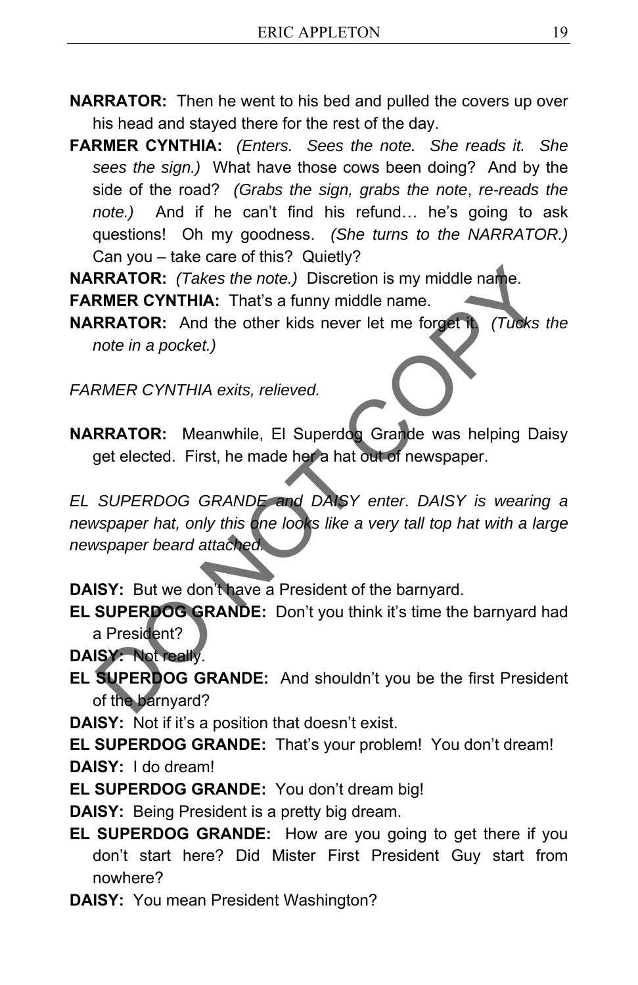- **NARRATOR:** Then he went to his bed and pulled the covers up over his head and stayed there for the rest of the day.
- **FARMER CYNTHIA:** *(Enters. Sees the note. She reads it. She sees the sign.)* What have those cows been doing? And by the side of the road? *(Grabs the sign, grabs the note*, *re-reads the note.)*And if he can't find his refund… he's going to ask questions! Oh my goodness. *(She turns to the NARRATOR.)* Can you – take care of this? Quietly?

**NARRATOR:** *(Takes the note.)* Discretion is my middle name.

**FARMER CYNTHIA:** That's a funny middle name.

**NARRATOR:** And the other kids never let me forget it. *(Tucks the note in a pocket.)*

*FARMER CYNTHIA exits, relieved.* 

**NARRATOR:** Meanwhile, El Superdog Grande was helping Daisy get elected. First, he made her a hat out of newspaper.

*EL SUPERDOG GRANDE and DAISY enter*. *DAISY is wearing a newspaper hat, only this one looks like a very tall top hat with a large newspaper beard attached.*  RRATOR: (Takes the note.) Discretion is my middle name.<br>
RER CYNTHIA: That's a funny middle name.<br>
RERATOR: And the other kids never let me forget to (Tucks the<br>
note in a pocket.)<br>
RMER CYNTHIA exits, relieved.<br>
RERATOR:

**DAISY:** But we don't have a President of the barnyard.

**EL SUPERDOG GRANDE:** Don't you think it's time the barnyard had a President?

**DAISY:** Not really.

**EL SUPERDOG GRANDE:** And shouldn't you be the first President of the barnyard?

**DAISY:** Not if it's a position that doesn't exist.

**EL SUPERDOG GRANDE:** That's your problem! You don't dream! **DAISY:** I do dream!

**EL SUPERDOG GRANDE:** You don't dream big!

**DAISY:** Being President is a pretty big dream.

- **EL SUPERDOG GRANDE:** How are you going to get there if you don't start here? Did Mister First President Guy start from nowhere?
- **DAISY:** You mean President Washington?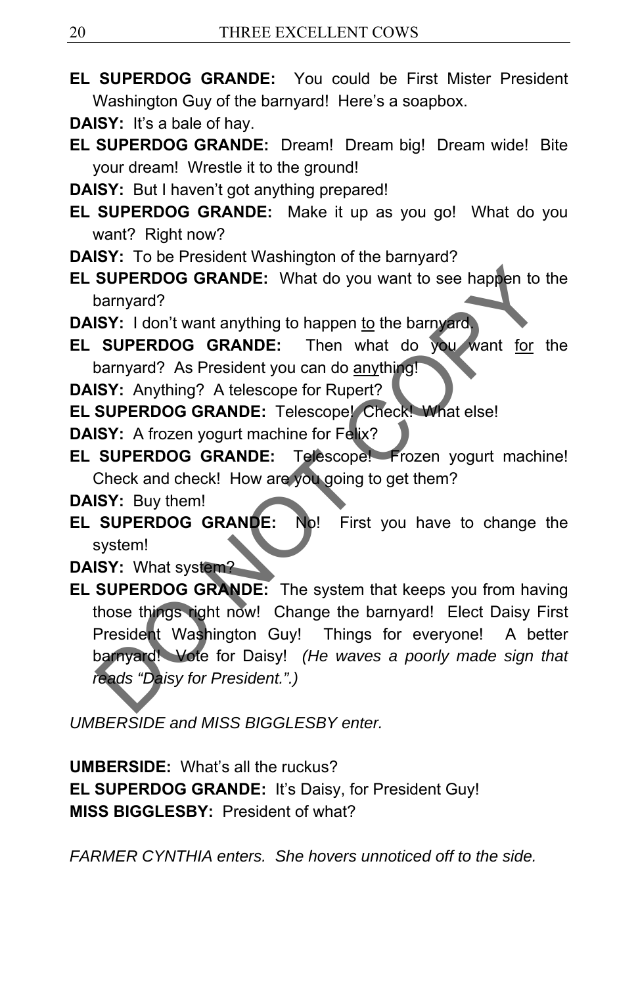**EL SUPERDOG GRANDE:** You could be First Mister President Washington Guy of the barnyard! Here's a soapbox.

**DAISY:** It's a bale of hay.

- **EL SUPERDOG GRANDE:** Dream! Dream big! Dream wide! Bite your dream! Wrestle it to the ground!
- **DAISY:** But I haven't got anything prepared!
- **EL SUPERDOG GRANDE:** Make it up as you go! What do you want? Right now?
- **DAISY:** To be President Washington of the barnyard?
- **EL SUPERDOG GRANDE:** What do you want to see happen to the barnyard?
- **DAISY:** I don't want anything to happen to the barnyard.
- **EL SUPERDOG GRANDE:** Then what do you want for the barnyard? As President you can do anything!
- **DAISY:** Anything? A telescope for Rupert?

**EL SUPERDOG GRANDE:** Telescope! Check! What else!

**DAISY:** A frozen yogurt machine for Felix?

**EL SUPERDOG GRANDE:** Telescope! Frozen yogurt machine! Check and check! How are you going to get them?

**DAISY:** Buy them!

**EL SUPERDOG GRANDE:** No! First you have to change the system!

**DAISY:** What system?

**EL SUPERDOG GRANDE:** The system that keeps you from having those things right now! Change the barnyard! Elect Daisy First President Washington Guy! Things for everyone! A better barnyard! Vote for Daisy! *(He waves a poorly made sign that reads "Daisy for President.".)*  SUPERDOG GRANDE: What do you want to see happen to the<br>
barnyard?<br>
ISY: I don't want anything to happen to the barnyard.<br>
SUPERDOG GRANDE: Then what do you want for the<br>
barnyard? As President you can do anything!<br>
ISY: An

*UMBERSIDE and MISS BIGGLESBY enter.* 

**UMBERSIDE:** What's all the ruckus? **EL SUPERDOG GRANDE: It's Daisy, for President Guy! MISS BIGGLESBY:** President of what?

*FARMER CYNTHIA enters. She hovers unnoticed off to the side.*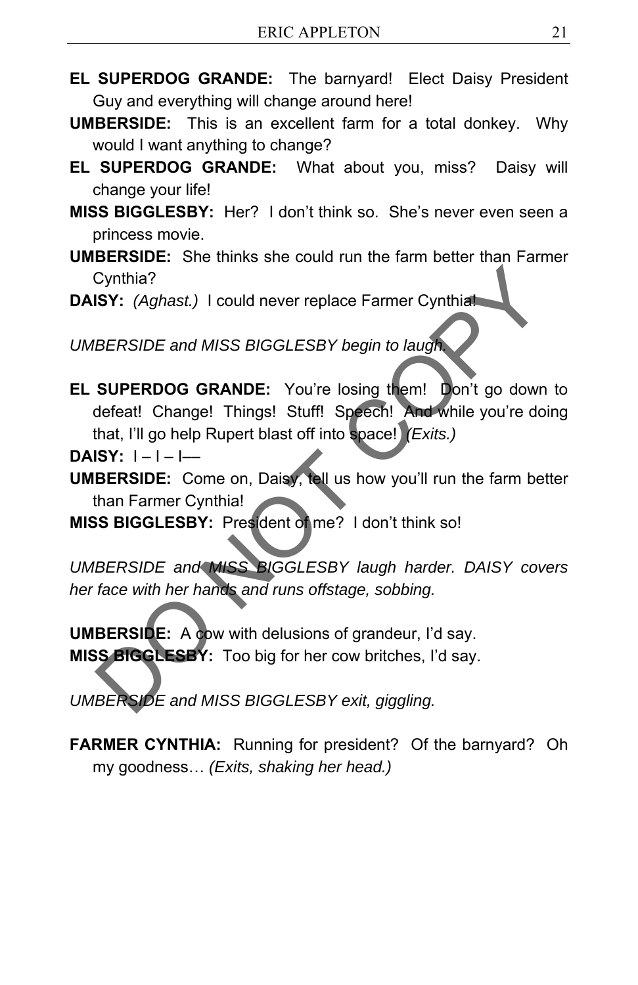- **EL SUPERDOG GRANDE:** The barnyard! Elect Daisy President Guy and everything will change around here!
- **UMBERSIDE:** This is an excellent farm for a total donkey. Why would I want anything to change?
- **EL SUPERDOG GRANDE:** What about you, miss? Daisy will change your life!
- **MISS BIGGLESBY:** Her? I don't think so. She's never even seen a princess movie.
- **UMBERSIDE:** She thinks she could run the farm better than Farmer Cynthia?
- **DAISY:** *(Aghast.)* I could never replace Farmer Cynthia!

*UMBERSIDE and MISS BIGGLESBY begin to laugh.* 

**EL SUPERDOG GRANDE:** You're losing them! Don't go down to defeat! Change! Things! Stuff! Speech! And while you're doing that, I'll go help Rupert blast off into space! *(Exits.)* Cynthia?<br>
ISY: (Aghast.) I could never replace Farmer Cynthiat<br>
ISY: (Aghast.) I could never replace Farmer Cynthiat<br>
SUPERDOG GRANDE: You're losing them! Don't go down to<br>
defeat! Change! Things! Stuff! Speech! And while

**DAISY:**  $I - I - I -$ 

- **UMBERSIDE:** Come on, Daisy, tell us how you'll run the farm better than Farmer Cynthia!
- **MISS BIGGLESBY:** President of me? I don't think so!

*UMBERSIDE and MISS BIGGLESBY laugh harder. DAISY covers her face with her hands and runs offstage, sobbing.* 

**UMBERSIDE:** A cow with delusions of grandeur, I'd say. **MISS BIGGLESBY:** Too big for her cow britches, I'd say.

*UMBERSIDE and MISS BIGGLESBY exit, giggling.* 

**FARMER CYNTHIA:** Running for president? Of the barnyard? Oh my goodness… *(Exits, shaking her head.)*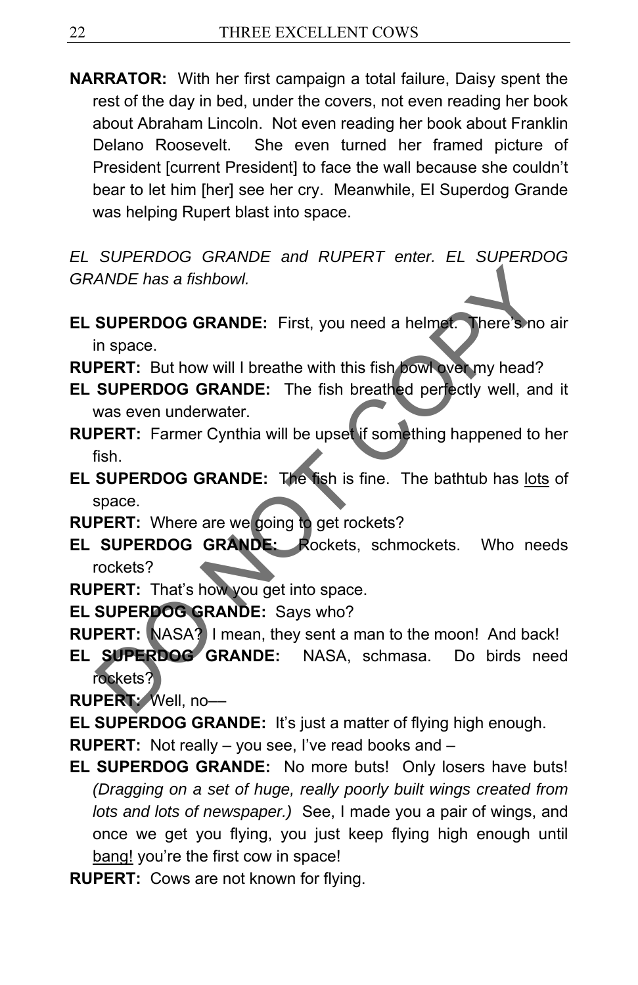**NARRATOR:** With her first campaign a total failure, Daisy spent the rest of the day in bed, under the covers, not even reading her book about Abraham Lincoln. Not even reading her book about Franklin Delano Roosevelt. She even turned her framed picture of President [current President] to face the wall because she couldn't bear to let him [her] see her cry. Meanwhile, El Superdog Grande was helping Rupert blast into space.

*EL SUPERDOG GRANDE and RUPERT enter. EL SUPERDOG GRANDE has a fishbowl.* 

- **EL SUPERDOG GRANDE:** First, you need a helmet. There's no air in space.
- **RUPERT:** But how will I breathe with this fish bowl over my head?
- **EL SUPERDOG GRANDE:** The fish breathed perfectly well, and it was even underwater.
- **RUPERT:** Farmer Cynthia will be upset if something happened to her fish.
- **EL SUPERDOG GRANDE:** The fish is fine. The bathtub has lots of space.
- **RUPERT:** Where are we going to get rockets?
- **EL SUPERDOG GRANDE:** Rockets, schmockets. Who needs rockets?
- **RUPERT:** That's how you get into space.
- **EL SUPERDOG GRANDE:** Says who?
- **RUPERT:** NASA? I mean, they sent a man to the moon! And back!
- **EL SUPERDOG GRANDE:** NASA, schmasa. Do birds need rockets? ANDE has a fishbowl.<br>
SUPERDOG GRANDE: First, you need a helmet. There sho aid in space.<br>
PERT: But how will I breathe with this fish bowl we my head?<br>
SUPERDOG GRANDE: The fish breathed perfectly well, and in<br>
MAS even un

**RUPERT:** Well, no––

- **EL SUPERDOG GRANDE:** It's just a matter of flying high enough.
- **RUPERT:** Not really you see, I've read books and –
- **EL SUPERDOG GRANDE:** No more buts! Only losers have buts! *(Dragging on a set of huge, really poorly built wings created from lots and lots of newspaper.)* See, I made you a pair of wings, and once we get you flying, you just keep flying high enough until bang! you're the first cow in space!
- **RUPERT:** Cows are not known for flying.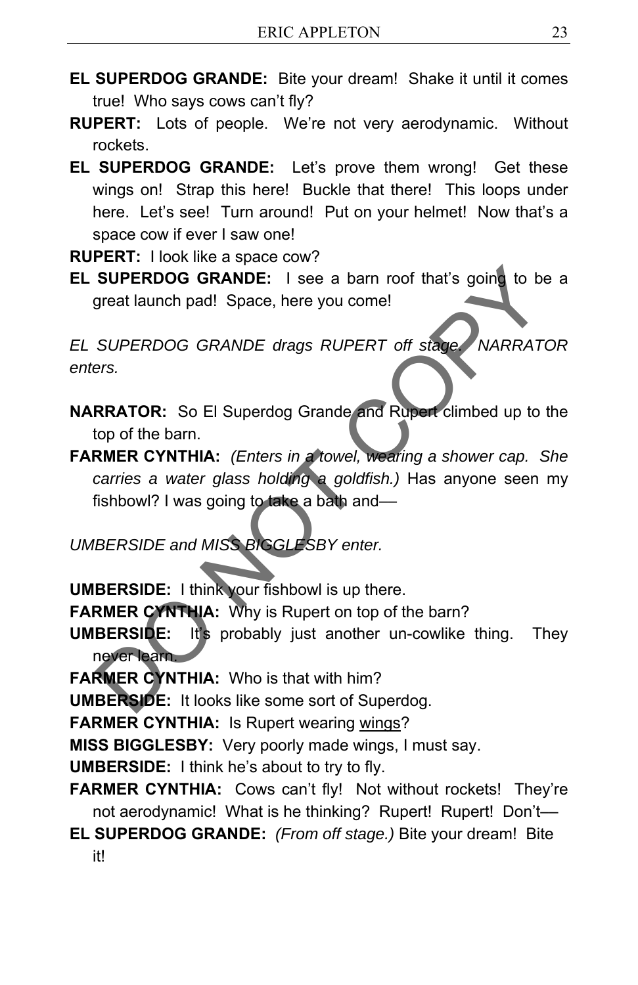- **EL SUPERDOG GRANDE:** Bite your dream! Shake it until it comes true! Who says cows can't fly?
- **RUPERT:** Lots of people. We're not very aerodynamic. Without rockets.
- **EL SUPERDOG GRANDE:** Let's prove them wrong! Get these wings on! Strap this here! Buckle that there! This loops under here. Let's see! Turn around! Put on your helmet! Now that's a space cow if ever I saw one!

**RUPERT:** I look like a space cow?

**EL SUPERDOG GRANDE:** I see a barn roof that's going to be a great launch pad! Space, here you come!

*EL SUPERDOG GRANDE drags RUPERT off stage. NARRATOR enters.* 

- **NARRATOR:** So El Superdog Grande and Rupert climbed up to the top of the barn.
- **FARMER CYNTHIA:** *(Enters in a towel, wearing a shower cap. She carries a water glass holding a goldfish.)* Has anyone seen my fishbowl? I was going to take a bath and-SUPERDOG GRANDE: I see a barn roof that's going to be a<br>great launch pad! Space, here you come!<br>SUPERDOG GRANDE drags RUPERT off stage. NARRATOI<br>ers.<br>RRATOR: So El Superdog Grande and Ruper climbed up to the<br>top of the bar

*UMBERSIDE and MISS BIGGLESBY enter.* 

**UMBERSIDE:** I think your fishbowl is up there.

**FARMER CYNTHIA:** Why is Rupert on top of the barn?

- **UMBERSIDE:** It's probably just another un-cowlike thing. They never learn.
- **FARMER CYNTHIA:** Who is that with him?

**UMBERSIDE:** It looks like some sort of Superdog.

**FARMER CYNTHIA: Is Rupert wearing wings?** 

**MISS BIGGLESBY:** Very poorly made wings, I must say.

**UMBERSIDE:** I think he's about to try to fly.

- **FARMER CYNTHIA:** Cows can't fly! Not without rockets! They're not aerodynamic! What is he thinking? Rupert! Rupert! Don't-
- **EL SUPERDOG GRANDE:** *(From off stage.)* Bite your dream! Bite it!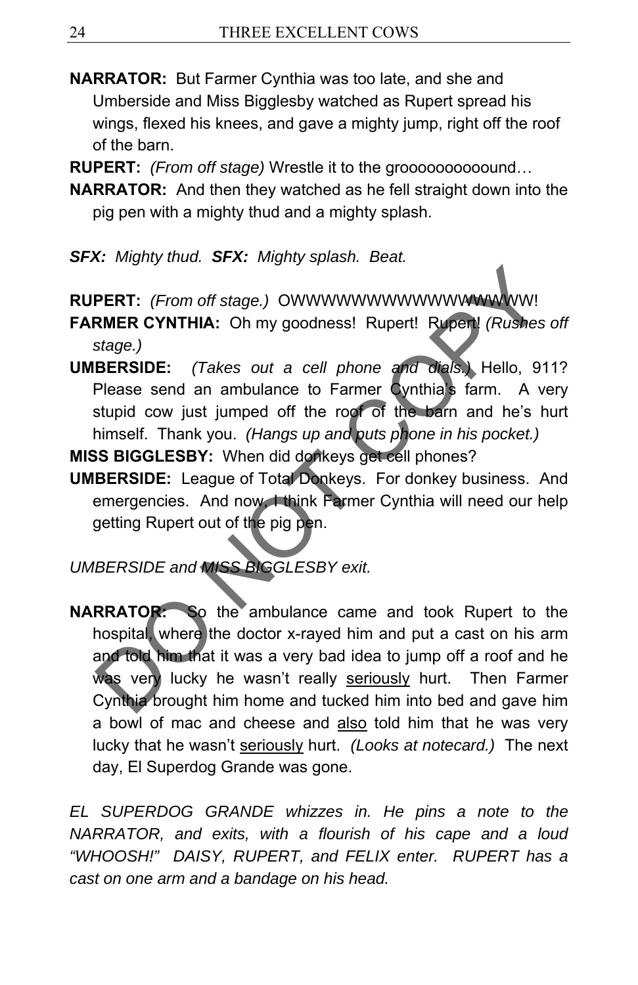**NARRATOR:** But Farmer Cynthia was too late, and she and Umberside and Miss Bigglesby watched as Rupert spread his wings, flexed his knees, and gave a mighty jump, right off the roof of the barn.

**RUPERT:** *(From off stage)* Wrestle it to the groooooooooound…

**NARRATOR:** And then they watched as he fell straight down into the pig pen with a mighty thud and a mighty splash.

*SFX: Mighty thud. SFX: Mighty splash. Beat.* 

**RUPERT:** *(From off stage.)* OWWWWWWWWWWWWWWWW! **FARMER CYNTHIA:** Oh my goodness! Rupert! Rupert! *(Rushes off* 

*stage.)* 

**UMBERSIDE:** *(Takes out a cell phone and dials.)* Hello, 911? Please send an ambulance to Farmer Cynthia's farm. A very stupid cow just jumped off the roof of the barn and he's hurt himself. Thank you. *(Hangs up and puts phone in his pocket.)*

**MISS BIGGLESBY:** When did donkeys get cell phones?

**UMBERSIDE:** League of Total Donkeys. For donkey business. And emergencies. And now, I think Farmer Cynthia will need our help getting Rupert out of the pig pen.

*UMBERSIDE and MISS BIGGLESBY exit.* 

**NARRATOR:** So the ambulance came and took Rupert to the hospital, where the doctor x-rayed him and put a cast on his arm and told him that it was a very bad idea to jump off a roof and he was very lucky he wasn't really seriously hurt. Then Farmer Cynthia brought him home and tucked him into bed and gave him a bowl of mac and cheese and also told him that he was very lucky that he wasn't seriously hurt. *(Looks at notecard.)* The next day, El Superdog Grande was gone. DO NOT COPY

*EL SUPERDOG GRANDE whizzes in. He pins a note to the NARRATOR, and exits, with a flourish of his cape and a loud "WHOOSH!" DAISY, RUPERT, and FELIX enter. RUPERT has a cast on one arm and a bandage on his head.*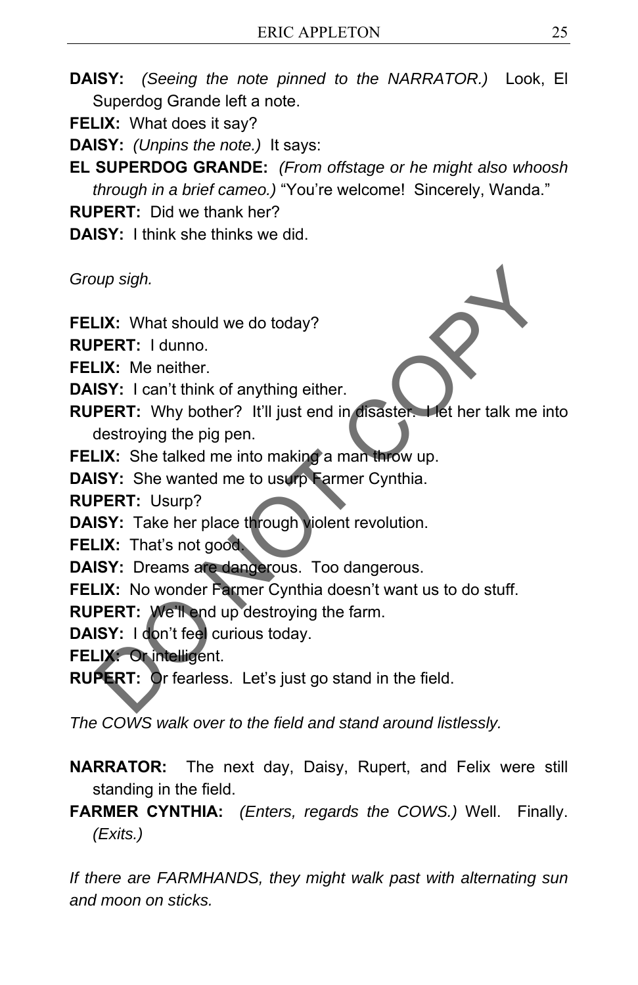- **DAISY:** *(Seeing the note pinned to the NARRATOR.)* Look, El Superdog Grande left a note.
- **FELIX:** What does it say?
- **DAISY:** *(Unpins the note.)* It says:
- **EL SUPERDOG GRANDE:** *(From offstage or he might also whoosh through in a brief cameo.)* "You're welcome! Sincerely, Wanda."

**RUPERT:** Did we thank her?

**DAISY:** I think she thinks we did.

*Group sigh.* 

**FELIX:** What should we do today?

**RUPERT:** I dunno.

**FELIX:** Me neither.

**DAISY:** I can't think of anything either.

- **RUPERT:** Why bother? It'll just end in disaster. Het her talk me into destroying the pig pen. oup sigh.<br>
LK: What should we do today?<br>
PERT: I dunno.<br>
LK: Me neither.<br>
ISY: I can't think of anything either.<br>
ISY: I can't think of anything either.<br>
destroying the pig pen.<br>
LK: She talked me into making a man throw u
- **FELIX:** She talked me into making a man throw up.
- **DAISY:** She wanted me to usurp Farmer Cynthia.

**RUPERT:** Usurp?

**DAISY:** Take her place through violent revolution.

**FELIX:** That's not good.

- **DAISY:** Dreams are dangerous. Too dangerous.
- **FELIX:** No wonder Farmer Cynthia doesn't want us to do stuff.
- **RUPERT:** We'll end up destroying the farm.

**DAISY:** I don't feel curious today.

- **FELIX:** Or intelligent.
- **RUPERT:** Or fearless. Let's just go stand in the field.

*The COWS walk over to the field and stand around listlessly.* 

- **NARRATOR:** The next day, Daisy, Rupert, and Felix were still standing in the field.
- **FARMER CYNTHIA:** *(Enters, regards the COWS.)* Well. Finally. *(Exits.)*

*If there are FARMHANDS, they might walk past with alternating sun and moon on sticks.*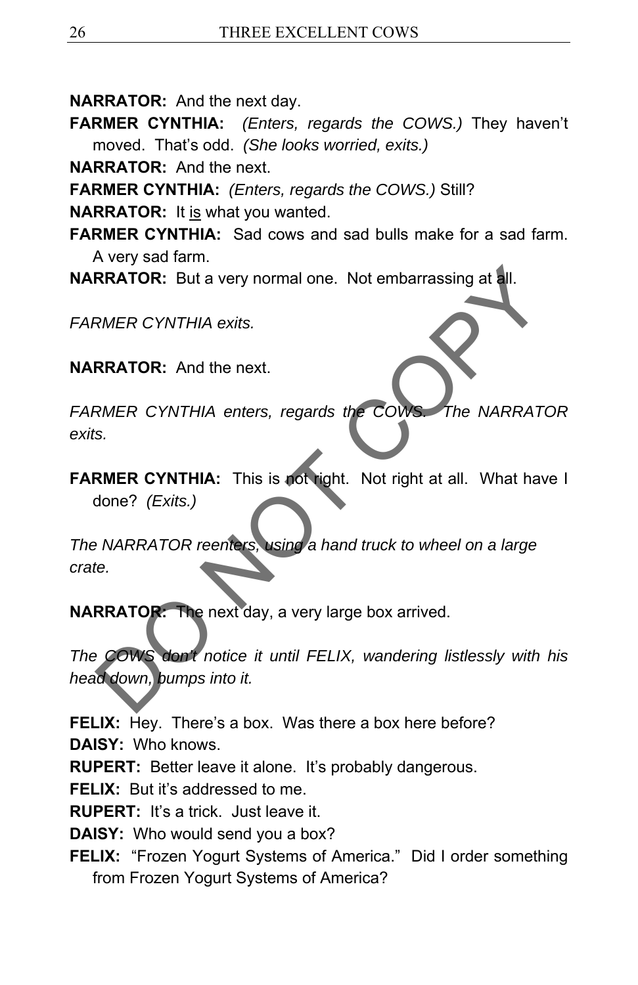**NARRATOR:** And the next day.

**FARMER CYNTHIA:** *(Enters, regards the COWS.)* They haven't moved. That's odd. *(She looks worried, exits.)*

**NARRATOR:** And the next.

**FARMER CYNTHIA:** *(Enters, regards the COWS.)* Still?

**NARRATOR:** It is what you wanted.

- **FARMER CYNTHIA:** Sad cows and sad bulls make for a sad farm. A very sad farm.
- **NARRATOR:** But a very normal one. Not embarrassing at all.

*FARMER CYNTHIA exits.* 

**NARRATOR:** And the next.

*FARMER CYNTHIA enters, regards the COWS. The NARRATOR exits.* 

**FARMER CYNTHIA:** This is not right. Not right at all. What have I done? *(Exits.)* 

*The NARRATOR reenters, using a hand truck to wheel on a large crate.* 

**NARRATOR:** The next day, a very large box arrived.

*The COWS don't notice it until FELIX, wandering listlessly with his head down, bumps into it.*  RRATOR: But a very normal one. Not embarrassing at all.<br>
RMER CYNTHIA exits.<br>
RRATOR: And the next.<br>
RMER CYNTHIA: This is not right. Not right at all. What have<br>
done? (Exits.)<br>
PNARRATOR reenters, using a hand truck to w

**FELIX:** Hey. There's a box. Was there a box here before?

**DAISY:** Who knows.

**RUPERT:** Better leave it alone. It's probably dangerous.

**FELIX:** But it's addressed to me.

**RUPERT:** It's a trick. Just leave it.

**DAISY:** Who would send you a box?

**FELIX:** "Frozen Yogurt Systems of America." Did I order something from Frozen Yogurt Systems of America?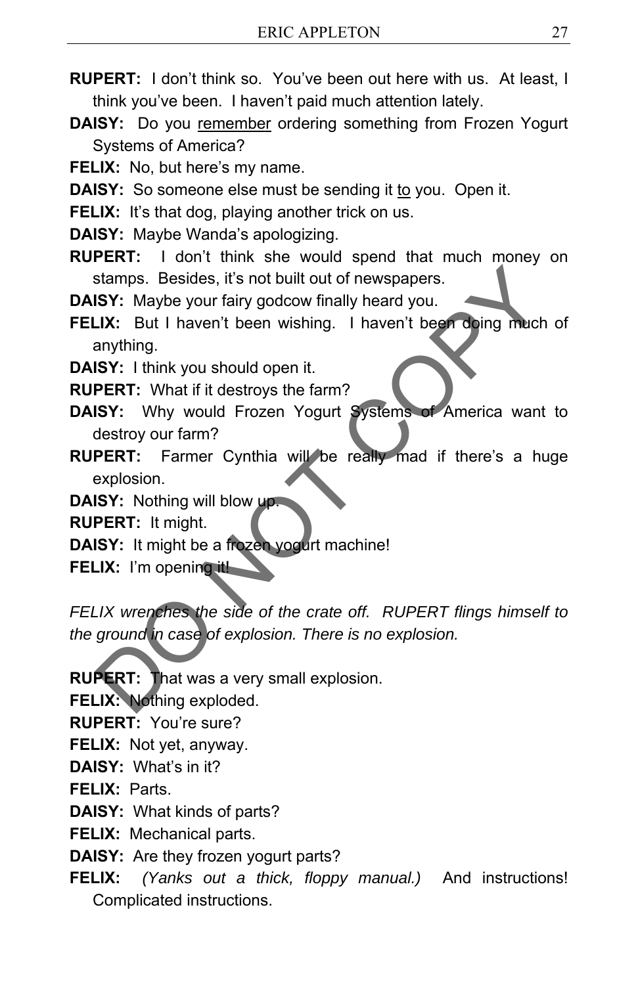- **RUPERT:** I don't think so. You've been out here with us. At least, I think you've been. I haven't paid much attention lately.
- **DAISY:** Do you remember ordering something from Frozen Yogurt Systems of America?
- **FELIX:** No, but here's my name.
- **DAISY:** So someone else must be sending it to you. Open it.
- **FELIX:** It's that dog, playing another trick on us.
- **DAISY:** Maybe Wanda's apologizing.
- **RUPERT:** I don't think she would spend that much money on stamps. Besides, it's not built out of newspapers.
- **DAISY:** Maybe your fairy godcow finally heard you.
- **FELIX:** But I haven't been wishing. I haven't been doing much of anything.
- **DAISY:** I think you should open it.
- **RUPERT:** What if it destroys the farm?
- **DAISY:** Why would Frozen Yogurt Systems of America want to destroy our farm?
- **RUPERT:** Farmer Cynthia will be really mad if there's a huge explosion.
- **DAISY:** Nothing will blow up.

**RUPERT:** It might.

- **DAISY:** It might be a frozen yogurt machine!
- **FELIX:** I'm opening it!

*FELIX wrenches the side of the crate off. RUPERT flings himself to the ground in case of explosion. There is no explosion.*  Stamps. Besides, it's not built out of newspapers.<br>
SEX: Maybe your fairy godcow finally heard you.<br>
J.K: But I haven't been wishing. I haven't been doing much compting.<br>
ISX: Why would Frozen Yogurt Systems of America wan

**RUPERT:** That was a very small explosion.

**FELIX:** Nothing exploded.

**RUPERT:** You're sure?

- **FELIX:** Not yet, anyway.
- **DAISY:** What's in it?

**FELIX:** Parts.

- **DAISY:** What kinds of parts?
- **FELIX:** Mechanical parts.
- **DAISY:** Are they frozen yogurt parts?
- **FELIX:** *(Yanks out a thick, floppy manual.)* And instructions! Complicated instructions.